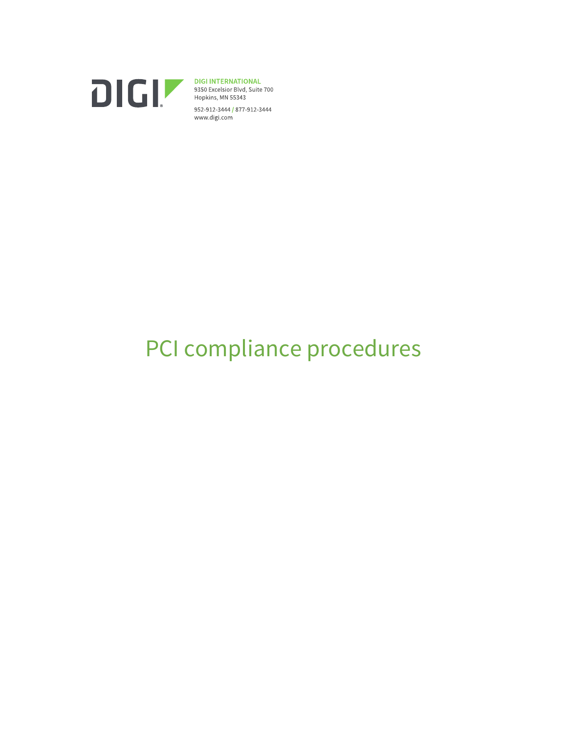

**DIGI INTERNATIONAL**<br>9350 Excelsior Blvd, Suite 700<br>Hopkins, MN 55343 952-912-3444 / 877-912-3444 www.digi.com

# PCI compliance procedures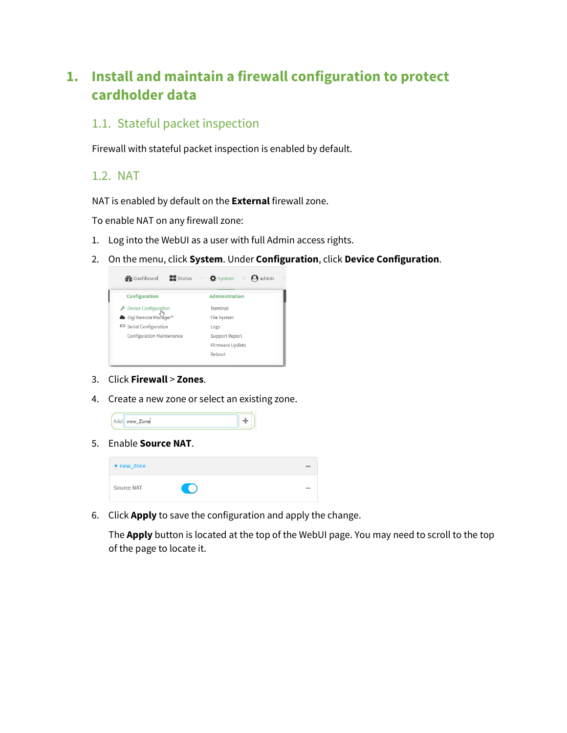# **1. Install and maintain a firewall configuration to protect cardholder data**

# 1.1. Stateful packet inspection

Firewall with stateful packet inspection is enabled by default.

1.2. NAT

NAT is enabled by default on the **External** firewall zone.

To enable NAT on any firewall zone:

- 1. Log into the WebUI as a user with full Admin access rights.
- 2. On the menu, click **System**. Under **Configuration**, click **Device Configuration**.

| $\blacksquare$ Status<br><b>B</b> Dashboard  | $\vee$ <b>O</b> system $\times$ <b>O</b> admin |
|----------------------------------------------|------------------------------------------------|
| Configuration                                | Administration                                 |
|                                              | Terminal                                       |
| Device Configuration<br>Digi Remote Manager® | File System                                    |
| Serial Configuration                         | Logs                                           |
| Configuration Maintenance                    | Support Report                                 |
|                                              | Firmware Update                                |
|                                              | Reboot                                         |
|                                              |                                                |

- 3. Click **Firewall** > **Zones**.
- 4. Create a new zone or select an existing zone.

| Add new_Zone |  |  |  |
|--------------|--|--|--|
|--------------|--|--|--|

5. Enable **Source NAT**.

| v new_Zone        |                | 888        |
|-------------------|----------------|------------|
| <b>Source NAT</b> | $\blacksquare$ | <b>DOS</b> |

6. Click **Apply** to save the configuration and apply the change.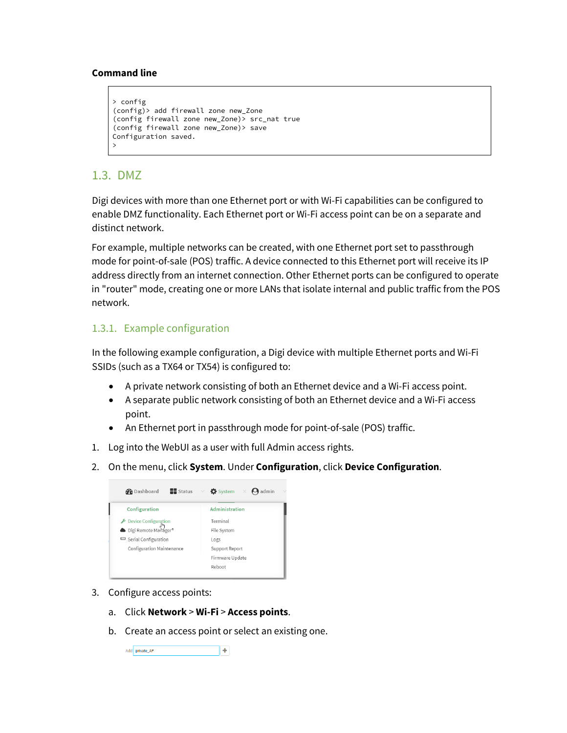```
> config
(config)> add firewall zone new_Zone
(config firewall zone new_Zone)> src_nat true
(config firewall zone new_Zone)> save
Configuration saved.
>
```
### 1.3. DMZ

Digi devices with more than one Ethernet port or with Wi-Fi capabilities can be configured to enable DMZ functionality. Each Ethernet port or Wi-Fi access point can be on a separate and distinct network.

For example, multiple networks can be created, with one Ethernet port set to passthrough mode for point-of-sale (POS) traffic. A device connected to this Ethernet port will receive its IP address directly from an internet connection. Other Ethernet ports can be configured to operate in "router" mode, creating one or more LANs that isolate internal and public traffic from the POS network.

#### 1.3.1. Example configuration

In the following example configuration, a Digi device with multiple Ethernet ports and Wi-Fi SSIDs (such as a TX64 or TX54) is configured to:

- A private network consisting of both an Ethernet device and a Wi-Fi access point.
- A separate public network consisting of both an Ethernet device and a Wi-Fi access point.
- An Ethernet port in passthrough mode for point-of-sale (POS) traffic.
- 1. Log into the WebUI as a user with full Admin access rights.
- 2. On the menu, click **System**. Under **Configuration**, click **Device Configuration**.

| <b>Status</b> $\vee$ <b><math>\bullet</math></b> System $\times$ <b>O</b> admin |
|---------------------------------------------------------------------------------|
| Administration                                                                  |
| Terminal                                                                        |
| File System                                                                     |
| Logs                                                                            |
| Support Report                                                                  |
| Firmware Update                                                                 |
| Reboot                                                                          |
|                                                                                 |

- 3. Configure access points:
	- a. Click **Network** > **Wi-Fi** > **Access points**.
	- b. Create an access point or select an existing one.

Add private\_AP  $+$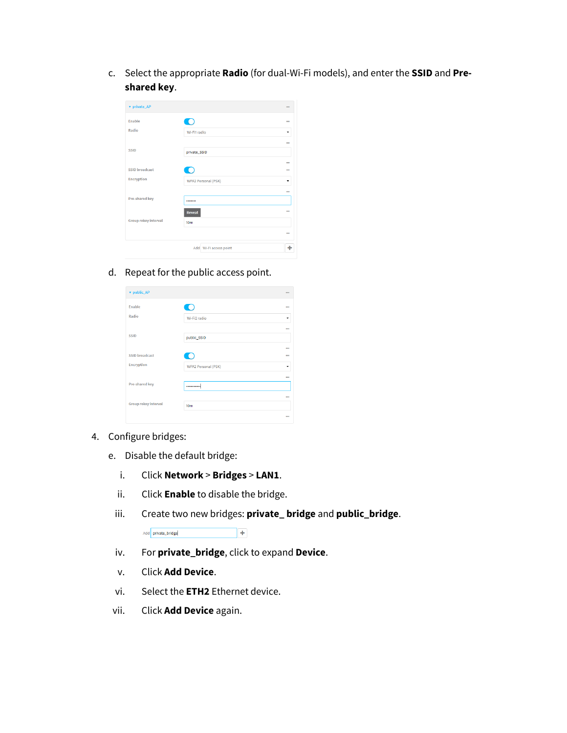c. Select the appropriate **Radio** (for dual-Wi-Fi models), and enter the **SSID** and **Preshared key**.

| v private_AP         |                            | <b>COL</b> |
|----------------------|----------------------------|------------|
| Enable               | $\bigcap$                  | $\cdots$   |
| Radio                | Wi-Fi1 radio               |            |
|                      |                            | <b>COL</b> |
| <b>SSID</b>          | private_SSID               |            |
|                      |                            | <b>COL</b> |
| SSID broadcast       | $\hspace{1.5cm} \bullet$   | <b>COL</b> |
| <b>Encryption</b>    | <b>WPA2 Personal (PSK)</b> |            |
|                      |                            | <b>COL</b> |
| Pre-shared key       |                            |            |
|                      | <b>Reveal</b>              | <b>COL</b> |
| Group rekey interval | 10 <sub>m</sub>            |            |
|                      |                            | $-$        |
|                      | Add Wi-Fi access point     | ٠          |
|                      |                            |            |

#### d. Repeat for the public access point.

| v public_AP           |                            | <b>COL</b>      |
|-----------------------|----------------------------|-----------------|
| Enable                |                            | $\cdots$        |
| Radio                 | Wi-Fi2 radio               | ٠               |
|                       |                            | 10 <sup>2</sup> |
| <b>SSID</b>           | public_SSID                |                 |
|                       |                            | 10 <sup>2</sup> |
| <b>SSID broadcast</b> |                            | $\sim$          |
| <b>Encryption</b>     | <b>WPA2 Personal (PSK)</b> | ٠               |
|                       |                            | $\cdots$        |
| Pre-shared key        |                            |                 |
|                       |                            | <b>COL</b>      |
| Group rekey interval  | 10 <sub>m</sub>            |                 |
|                       |                            | <b>DOM</b>      |
|                       |                            |                 |

- 4. Configure bridges:
	- e. Disable the default bridge:
		- i. Click **Network** > **Bridges** > **LAN1**.
		- ii. Click **Enable** to disable the bridge.
		- iii. Create two new bridges: **private\_ bridge** and **public\_bridge**.

Add private\_bridge  $\vert + \vert$ 

- iv. For **private\_bridge**, click to expand **Device**.
- v. Click **Add Device**.
- vi. Select the **ETH2** Ethernet device.
- vii. Click **Add Device** again.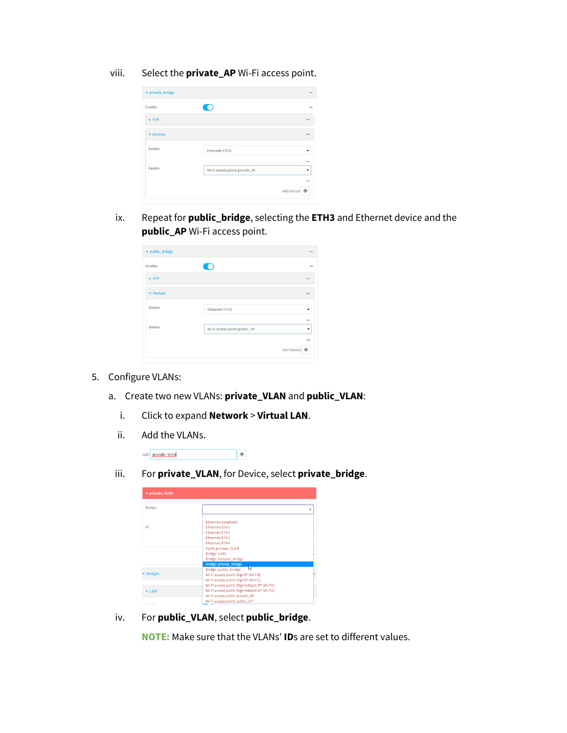viii. Select the **private\_AP** Wi-Fi access point.

| v private_bridge     |                                | $***$               |
|----------------------|--------------------------------|---------------------|
| Enable               | o.                             | $***$               |
| $\triangleright$ STP |                                | <b>sea</b>          |
| <b>v</b> Devices     |                                | $n = n$             |
| Device               | Ethernet: ETH2                 |                     |
|                      |                                | $n = 1$             |
| Device               | Wi-Fi access point: private_AP | ٠                   |
|                      |                                | $***$<br>Add Device |

ix. Repeat for **public\_bridge**, selecting the **ETH3** and Ethernet device and the **public\_AP** Wi-Fi access point.

| v public_bridge           |                               | <b>SHARE</b>      |
|---------------------------|-------------------------------|-------------------|
| Enable                    |                               | <b>DOM</b>        |
| $\blacktriangleright$ STP |                               | $***$             |
| <b>v</b> Devices          |                               | 144               |
| Device                    | Ethernet: ETH3                |                   |
| Device                    | Wi-Fi access point: public_AP | 144               |
|                           |                               | 144<br>Add Device |

- 5. Configure VLANs:
	- a. Create two new VLANs: **private\_VLAN** and **public\_VLAN**:
		- i. Click to expand **Network** > **Virtual LAN**.
		- ii. Add the VLANs.

Add priviate VLAN  $\overline{+}$ 

iii. For **private\_VLAN**, for Device, select **private\_bridge**.

| v priviate_VLAN  |                                              | <b>STATE</b> |
|------------------|----------------------------------------------|--------------|
| Device           |                                              |              |
|                  | Ethernet: Loopback                           |              |
| ID               | <b>Ethernet: ETH1</b>                        |              |
|                  | <b>Ethernet: ETH2</b>                        |              |
|                  | <b>Ethernet: FTH3</b>                        |              |
|                  | <b>Ethernet: FTH4</b>                        |              |
|                  | VLAN: priviate_VLAN                          |              |
|                  | <b>Bridge: LAN1</b>                          |              |
|                  | Bridge: hotspot_bridge                       |              |
|                  | <b>Bridge: private_bridge</b>                |              |
|                  | ↳<br>Bridge: public bridge                   |              |
| <b>v</b> Bridges | Wi-Fi access point: Digi AP (Wi-Fi1)         |              |
|                  | Wi-Fi access point: Digi AP (Wi-Fi2)         |              |
|                  | Wi-Fi access point: Digi Hotspot AP (Wi-Fi1) |              |
| $V$ LAN1         | Wi-Fi access point: Digi Hotspot AP (Wi-Fi2) |              |
|                  | Wi-Fi access point: private_AP               |              |
|                  | Wi-Fi access point: public AP                |              |

iv. For **public\_VLAN**, select **public\_bridge**.

**NOTE:** Make sure that the VLANs' **ID**s are set to different values.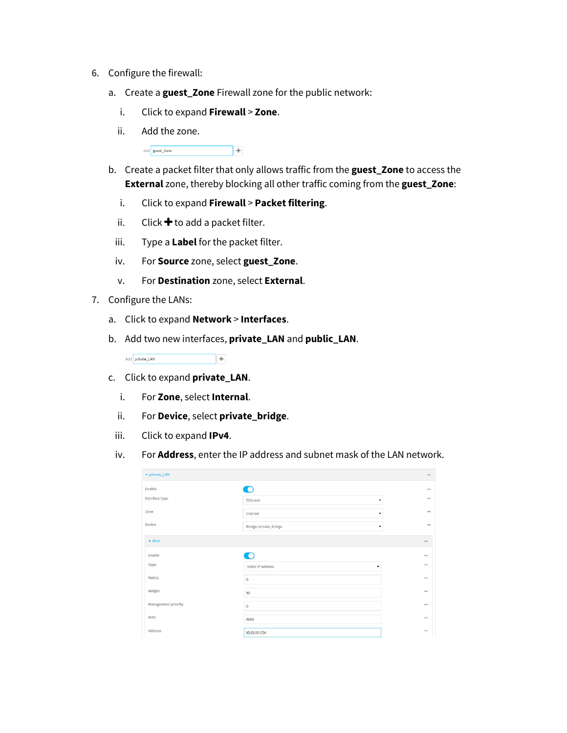- 6. Configure the firewall:
	- a. Create a **guest\_Zone** Firewall zone for the public network:
		- i. Click to expand **Firewall** > **Zone**.
		- ii. Add the zone.

Add guest\_Zone  $\overline{+}$ 

- b. Create a packet filter that only allows traffic from the **guest\_Zone** to access the **External** zone, thereby blocking all other traffic coming from the **guest\_Zone**:
	- i. Click to expand **Firewall** > **Packet filtering**.
	- ii. Click  $\bigstar$  to add a packet filter.
	- iii. Type a **Label** for the packet filter.
	- iv. For **Source** zone, select **guest\_Zone**.
	- v. For **Destination** zone, select **External**.
- 7. Configure the LANs:
	- a. Click to expand **Network** > **Interfaces**.
	- b. Add two new interfaces, **private\_LAN** and **public\_LAN**.

Add private\_LAN  $\overline{a}$ 

- c. Click to expand **private\_LAN**.
	- i. For **Zone**, select **Internal**.
	- ii. For **Device**, select **private\_bridge**.
	- iii. Click to expand **IPv4**.
	- iv. For **Address**, enter the IP address and subnet mask of the LAN network.

| v private_LAN       |                        |   | $\pm\pm\pi$ |
|---------------------|------------------------|---|-------------|
| Enable              | ∩                      |   | $***$       |
| Interface type      | Ethernet               |   | $\cdots$    |
| Zone                | Internal               | ۰ | 101         |
| Device              | Bridge: private_bridge | ۰ | $^{***}$    |
| $\Psi$ IPv4         |                        |   | $***$       |
| Enable              | $\bigcirc$             |   | $***$       |
| Type                | Static IP address      |   | $***$       |
| Metric              | $\pmb{0}$              |   | $***$       |
| Weight              | 10                     |   | $***$       |
| Management priority | $\bullet$              |   | $***$       |
| <b>MTU</b>          | 1500                   |   | $***$       |
| Address             | 10.10.10.1/24          |   | $***$       |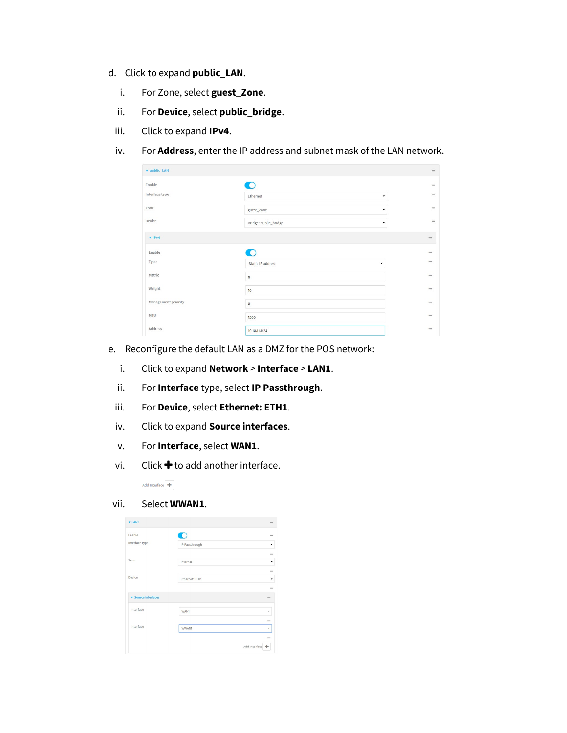- d. Click to expand **public\_LAN**.
	- i. For Zone, select **guest\_Zone**.
	- ii. For **Device**, select **public\_bridge**.
	- iii. Click to expand **IPv4**.
	- iv. For **Address**, enter the IP address and subnet mask of the LAN network.

| v public_LAN        |                            | 222         |
|---------------------|----------------------------|-------------|
| Enable              | $\bigcirc$                 | 1444        |
| Interface type      | Ethernet<br>۰              | 144         |
| Zone                | guest_Zone<br>۰            | $***$       |
| Device              | Bridge: public_bridge<br>۰ | $***$       |
| $V$ IPv4            |                            | $rac{1}{2}$ |
| Enable              | D                          | $***$       |
| Type                | Static IP address<br>۰     | 888         |
| Metric              | $\mathsf{o}$               | 1444        |
| Weight              | 10                         | 1444        |
| Management priority | $\mathsf{o}$               | 1888        |
| <b>MTU</b>          | 1500                       | 344         |
| Address             | 10.10.11.1/24              | 344         |

- e. Reconfigure the default LAN as a DMZ for the POS network:
	- i. Click to expand **Network** > **Interface** > **LAN1**.
	- ii. For **Interface** type, select **IP Passthrough**.
	- iii. For **Device**, select **Ethernet: ETH1**.
	- iv. Click to expand **Source interfaces**.
	- v. For **Interface**, select **WAN1**.
	- vi. Click  $\bigstar$  to add another interface.

Add Interface  $\boxed{\color{red}+}$ 

#### vii. Select **WWAN1**.

| <b>v</b> LAN1              |                | $\sim$        |
|----------------------------|----------------|---------------|
| Enable                     | n              | $\cdots$      |
| Interface type             | IP Passthrough | ٠             |
|                            |                | $\sim$        |
| Zone                       | Internal       | ٠             |
|                            |                | $\cdots$      |
| Device                     | Ethernet: ETH1 | ٠             |
|                            |                | $\cdots$      |
| <b>v</b> Source interfaces |                | $\sim$        |
| Interface                  | WAN1           | ٠             |
|                            |                | $\cdots$      |
| Interface                  | <b>WWAN1</b>   | ٠             |
|                            |                | $\cdots$      |
|                            |                | Add Interface |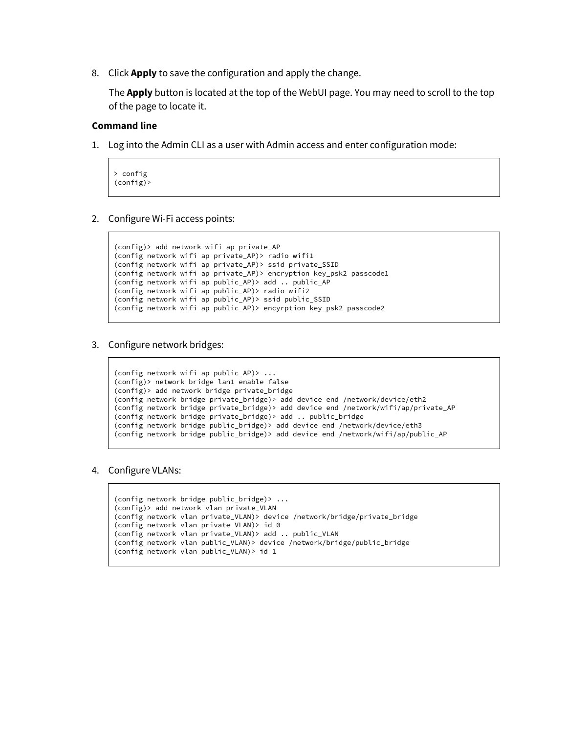8. Click **Apply** to save the configuration and apply the change.

The **Apply** button is located at the top of the WebUI page. You may need to scroll to the top of the page to locate it.

#### **Command line**

1. Log into the Admin CLI as a user with Admin access and enter configuration mode:

```
> config
(config)>
```
2. Configure Wi-Fi access points:

```
(config)> add network wifi ap private_AP
(config network wifi ap private_AP)> radio wifi1
(config network wifi ap private_AP)> ssid private_SSID
(config network wifi ap private_AP)> encryption key_psk2 passcode1
(config network wifi ap public_AP)> add .. public_AP
(config network wifi ap public_AP)> radio wifi2
(config network wifi ap public_AP)> ssid public_SSID
(config network wifi ap public_AP)> encyrption key_psk2 passcode2
```
3. Configure network bridges:

```
(config network wifi ap public_AP)> ... 
(config)> network bridge lan1 enable false
(config)> add network bridge private_bridge
(config network bridge private_bridge)> add device end /network/device/eth2
(config network bridge private_bridge)> add device end /network/wifi/ap/private_AP
(config network bridge private_bridge)> add .. public_bridge
(config network bridge public_bridge)> add device end /network/device/eth3
(config network bridge public_bridge)> add device end /network/wifi/ap/public_AP
```
4. Configure VLANs:

```
(config network bridge public_bridge)> ...
(config)> add network vlan private_VLAN
(config network vlan private_VLAN)> device /network/bridge/private_bridge
(config network vlan private_VLAN)> id 0
(config network vlan private_VLAN)> add .. public_VLAN
(config network vlan public_VLAN)> device /network/bridge/public_bridge
(config network vlan public_VLAN)> id 1
```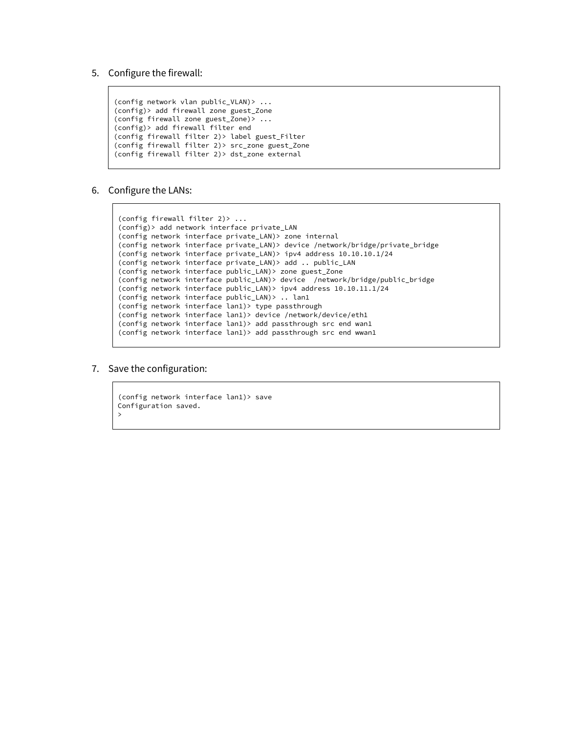5. Configure the firewall:

```
(config network vlan public_VLAN)> ... 
(config)> add firewall zone guest_Zone
(config firewall zone guest_Zone)> ...
(config)> add firewall filter end
(config firewall filter 2)> label guest_Filter
(config firewall filter 2)> src_zone guest_Zone 
(config firewall filter 2)> dst_zone external
```
6. Configure the LANs:

```
(config firewall filter 2)> ... 
(config)> add network interface private_LAN
(config network interface private_LAN)> zone internal
(config network interface private_LAN)> device /network/bridge/private_bridge
(config network interface private_LAN)> ipv4 address 10.10.10.1/24
(config network interface private_LAN)> add .. public_LAN
(config network interface public_LAN)> zone guest_Zone
(config network interface public_LAN)> device /network/bridge/public_bridge
(config network interface public_LAN)> ipv4 address 10.10.11.1/24
(config network interface public_LAN)> .. lan1
(config network interface lan1)> type passthrough
(config network interface lan1)> device /network/device/eth1
(config network interface lan1)> add passthrough src end wan1
(config network interface lan1)> add passthrough src end wwan1
```
7. Save the configuration:

```
(config network interface lan1)> save
Configuration saved.
>
```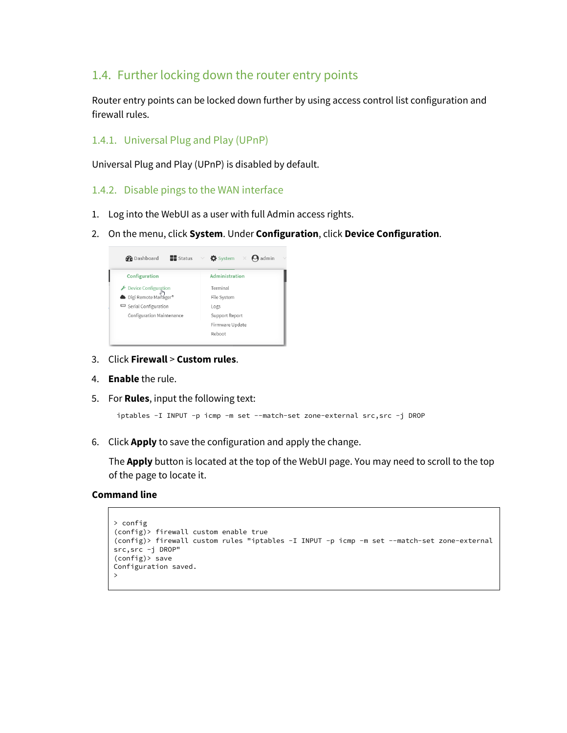# 1.4. Further locking down the router entry points

Router entry points can be locked down further by using access control list configuration and firewall rules.

#### 1.4.1. Universal Plug and Play (UPnP)

Universal Plug and Play (UPnP) is disabled by default.

- 1.4.2. Disable pings to the WAN interface
- 1. Log into the WebUI as a user with full Admin access rights.
- 2. On the menu, click **System**. Under **Configuration**, click **Device Configuration**.



- 3. Click **Firewall** > **Custom rules**.
- 4. **Enable** the rule.
- 5. For **Rules**, input the following text:

```
iptables -I INPUT -p icmp -m set --match-set zone-external src,src -j DROP
```
6. Click **Apply** to save the configuration and apply the change.

The **Apply** button is located at the top of the WebUI page. You may need to scroll to the top of the page to locate it.

#### **Command line**

```
> config
(config)> firewall custom enable true
(config)> firewall custom rules "iptables -I INPUT -p icmp -m set --match-set zone-external 
src,src -j DROP"
(config)> save
Configuration saved.
>
```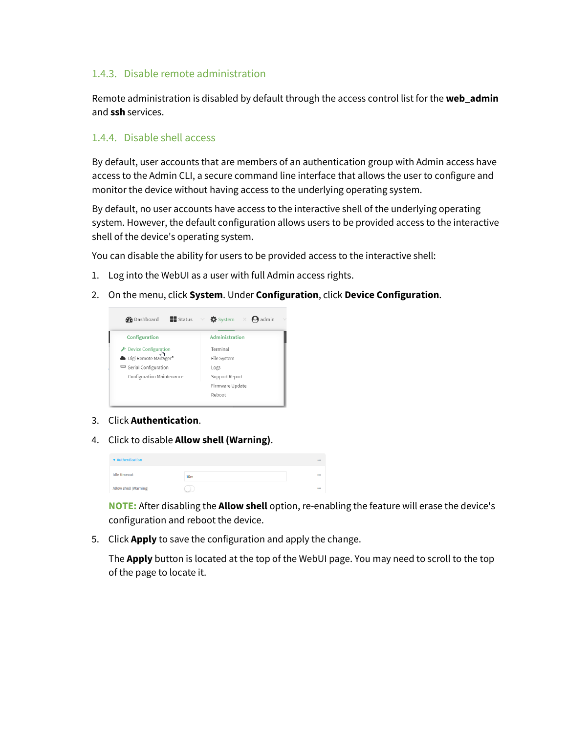#### 1.4.3. Disable remote administration

Remote administration is disabled by default through the access control list for the **web\_admin** and **ssh** services.

#### 1.4.4. Disable shell access

By default, user accounts that are members of an authentication group with Admin access have access to the Admin CLI, a secure command line interface that allows the user to configure and monitor the device without having access to the underlying operating system.

By default, no user accounts have access to the interactive shell of the underlying operating system. However, the default configuration allows users to be provided access to the interactive shell of the device's operating system.

You can disable the ability for users to be provided access to the interactive shell:

- 1. Log into the WebUI as a user with full Admin access rights.
- 2. On the menu, click **System**. Under **Configuration**, click **Device Configuration**.



- 3. Click **Authentication**.
- 4. Click to disable **Allow shell (Warning)**.

| <b>v</b> Authentication |                 | eee        |
|-------------------------|-----------------|------------|
| <b>Idle</b> timeout     | 10 <sub>m</sub> | <b>DOM</b> |
| Allow shell (Warning)   |                 | <b>DOM</b> |

**NOTE:** After disabling the **Allow shell** option, re-enabling the feature will erase the device's configuration and reboot the device.

5. Click **Apply** to save the configuration and apply the change.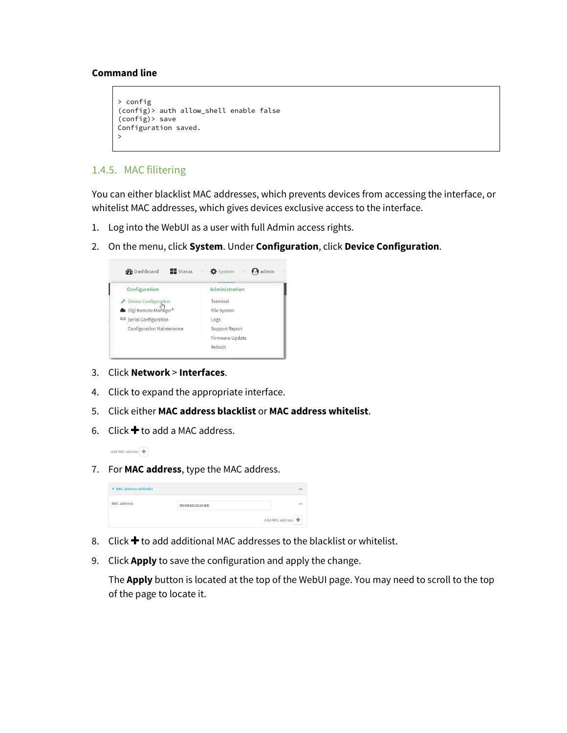```
> config
(config)> auth allow_shell enable false
(config)> save
Configuration saved.
>
```
#### 1.4.5. MAC filitering

You can either blacklist MAC addresses, which prevents devices from accessing the interface, or whitelist MAC addresses, which gives devices exclusive access to the interface.

- 1. Log into the WebUI as a user with full Admin access rights.
- 2. On the menu, click **System**. Under **Configuration**, click **Device Configuration**.

| $\blacksquare$ Status<br><b>B</b> Dashboard  | $\vee$ $\bullet$ System $\times$ <b>O</b> admin |
|----------------------------------------------|-------------------------------------------------|
| Configuration                                | Administration                                  |
|                                              | Terminal                                        |
| Device Configuration<br>Digi Remote Manager® | File System                                     |
| Serial Configuration                         | Logs                                            |
| Configuration Maintenance                    | Support Report                                  |
|                                              | Firmware Update                                 |
|                                              | Reboot                                          |

- 3. Click **Network** > **Interfaces**.
- 4. Click to expand the appropriate interface.
- 5. Click either **MAC address blacklist** or **MAC address whitelist**.
- 6. Click  $\bigstar$  to add a MAC address.

Add MAC address +

7. For **MAC address**, type the MAC address.

| ▼ MAC address whitelist |                   | <b>ABA</b>      |
|-------------------------|-------------------|-----------------|
| <b>MAC</b> address      | 00:00:65:02:41:BB | 699             |
|                         |                   | Add MAC address |

- 8. Click  $\bigstar$  to add additional MAC addresses to the blacklist or whitelist.
- 9. Click **Apply** to save the configuration and apply the change.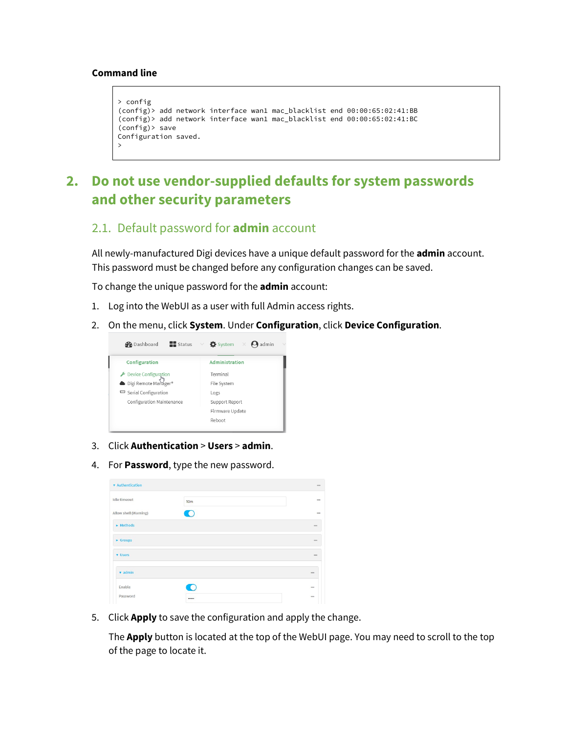```
> config
(config)> add network interface wan1 mac_blacklist end 00:00:65:02:41:BB
(config)> add network interface wan1 mac_blacklist end 00:00:65:02:41:BC
(config)> save
Configuration saved.
>
```
# **2. Do not use vendor-supplied defaults for system passwords and other security parameters**

# 2.1. Default password for **admin** account

All newly-manufactured Digi devices have a unique default password for the **admin** account. This password must be changed before any configuration changes can be saved.

To change the unique password for the **admin** account:

- 1. Log into the WebUI as a user with full Admin access rights.
- 2. On the menu, click **System**. Under **Configuration**, click **Device Configuration**.



- 3. Click **Authentication** > **Users** > **admin**.
- 4. For **Password**, type the new password.

| <b>v</b> Authentication       |                 | $***$      |
|-------------------------------|-----------------|------------|
| <b>Idle</b> timeout           | 10 <sub>m</sub> | <b>HAM</b> |
| Allow shell (Warning)         |                 | $n + n$    |
| $\blacktriangleright$ Methods |                 | non.       |
| $\blacktriangleright$ Groups  |                 | non.       |
| <b>v</b> Users                |                 | $-1$       |
| $\sqrt{ }$ admin              |                 | <b>non</b> |
| Enable                        |                 | men        |
| Password                      |                 | <b>BRA</b> |

5. Click **Apply** to save the configuration and apply the change.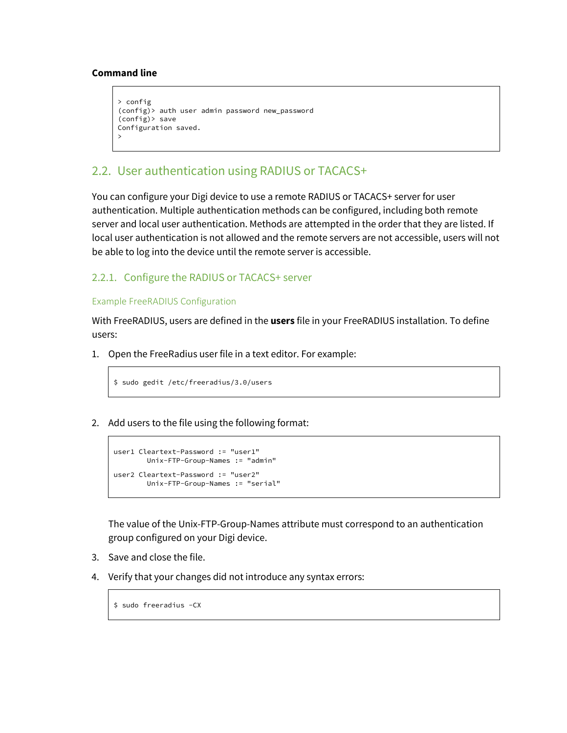```
> config
(config)> auth user admin password new_password
(config)> save
Configuration saved.
>
```
# 2.2. User authentication using RADIUS or TACACS+

You can configure your Digi device to use a remote RADIUS or TACACS+ server for user authentication. Multiple authentication methods can be configured, including both remote server and local user authentication. Methods are attempted in the order that they are listed. If local user authentication is not allowed and the remote servers are not accessible, users will not be able to log into the device until the remote server is accessible.

#### 2.2.1. Configure the RADIUS or TACACS+ server

#### Example FreeRADIUS Configuration

With FreeRADIUS, users are defined in the **users** file in your FreeRADIUS installation. To define users:

1. Open the FreeRadius user file in a text editor. For example:

```
$ sudo gedit /etc/freeradius/3.0/users
```
2. Add users to the file using the following format:

```
user1 Cleartext-Password := "user1"
       Unix-FTP-Group-Names := "admin"
user2 Cleartext-Password := "user2"
        Unix-FTP-Group-Names := "serial"
```
The value of the Unix-FTP-Group-Names attribute must correspond to an authentication group configured on your Digi device.

- 3. Save and close the file.
- 4. Verify that your changes did not introduce any syntax errors:

\$ sudo freeradius -CX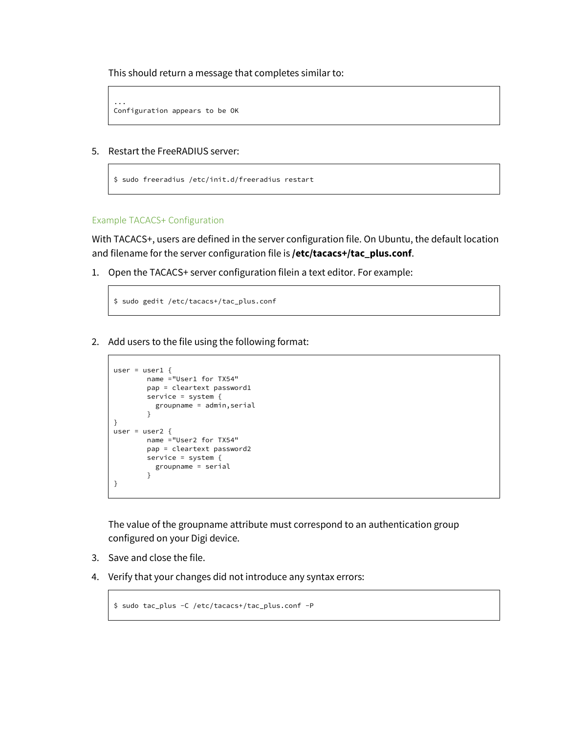This should return a message that completes similar to:

```
...
Configuration appears to be OK
```
5. Restart the FreeRADIUS server:

```
$ sudo freeradius /etc/init.d/freeradius restart
```
Example TACACS+ Configuration

With TACACS+, users are defined in the server configuration file. On Ubuntu, the default location and filename for the server configuration file is **/etc/tacacs+/tac\_plus.conf**.

1. Open the TACACS+ server configuration filein a text editor. For example:

```
$ sudo gedit /etc/tacacs+/tac_plus.conf
```
2. Add users to the file using the following format:

```
user = user1 \{name ="User1 for TX54"
       pap = cleartext password1
       service = system {
          groupname = admin,serial
        }
}
user = user2 {
       name ="User2 for TX54"
       pap = cleartext password2
       service = system {
          groupname = serial
        }
}
```
The value of the groupname attribute must correspond to an authentication group configured on your Digi device.

- 3. Save and close the file.
- 4. Verify that your changes did not introduce any syntax errors:

```
$ sudo tac_plus -C /etc/tacacs+/tac_plus.conf -P
```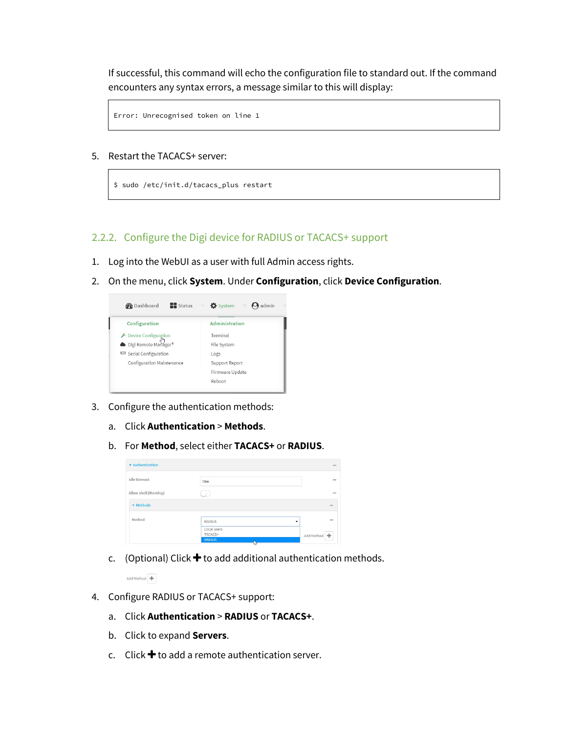If successful, this command will echo the configuration file to standard out. If the command encounters any syntax errors, a message similar to this will display:

```
Error: Unrecognised token on line 1
```
#### 5. Restart the TACACS+ server:

\$ sudo /etc/init.d/tacacs\_plus restart

#### 2.2.2. Configure the Digi device for RADIUS or TACACS+ support

- 1. Log into the WebUI as a user with full Admin access rights.
- 2. On the menu, click **System**. Under **Configuration**, click **Device Configuration**.



- 3. Configure the authentication methods:
	- a. Click **Authentication** > **Methods**.
	- b. For **Method**, select either **TACACS+** or **RADIUS**.

| <b>v</b> Authentication |                        | ses.         |
|-------------------------|------------------------|--------------|
| <b>Idle</b> timeout     | 10 <sub>m</sub>        | one          |
| Allow shell (Warning)   |                        | man.         |
| <b>v</b> Methods        |                        | ses.         |
| Method                  | <b>RADIUS</b>          | $n + 1$<br>۰ |
|                         | Local users<br>TACACS+ | Add Method   |
|                         |                        |              |

c. (Optional) Click  $\bigstar$  to add additional authentication methods.

Add Method  $\overline{\textbf{+}}$ 

- 4. Configure RADIUS or TACACS+ support:
	- a. Click **Authentication** > **RADIUS** or **TACACS+**.
	- b. Click to expand **Servers**.
	- c. Click  $\bigstar$  to add a remote authentication server.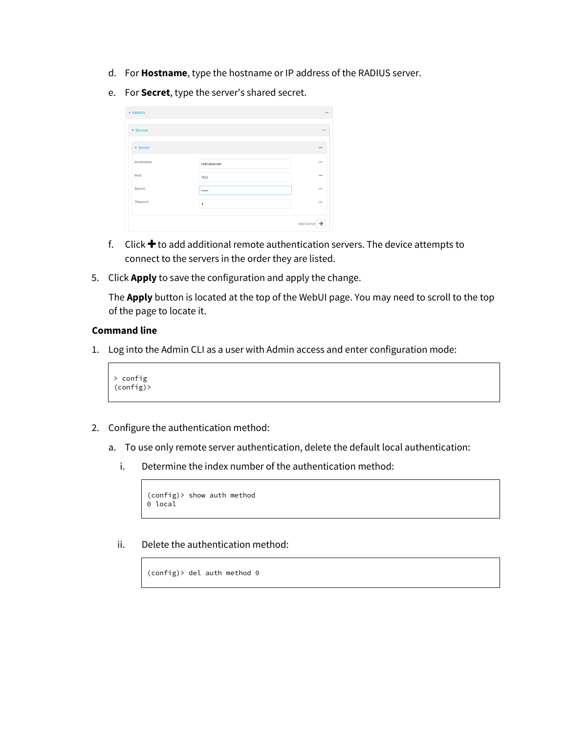- d. For **Hostname**, type the hostname or IP address of the RADIUS server.
- e. For **Secret**, type the server's shared secret.

| <b>v</b> Servers |                         |            |
|------------------|-------------------------|------------|
|                  |                         |            |
| <b>v</b> Server  |                         | 000        |
| Hostname         | radiusserver            | <b>DOG</b> |
| Port             | 1812                    | 664        |
| Secret           |                         | 0.01       |
| <b>Timeout</b>   | $\overline{\mathbf{3}}$ | <b>SOL</b> |

- f. Click  $\bigstar$  to add additional remote authentication servers. The device attempts to connect to the servers in the order they are listed.
- 5. Click **Apply** to save the configuration and apply the change.

The **Apply** button is located at the top of the WebUI page. You may need to scroll to the top of the page to locate it.

#### **Command line**

1. Log into the Admin CLI as a user with Admin access and enter configuration mode:

> config (config)>

- 2. Configure the authentication method:
	- a. To use only remote server authentication, delete the default local authentication:
		- i. Determine the index number of the authentication method:

(config)> show auth method 0 local

ii. Delete the authentication method:

(config)> del auth method 0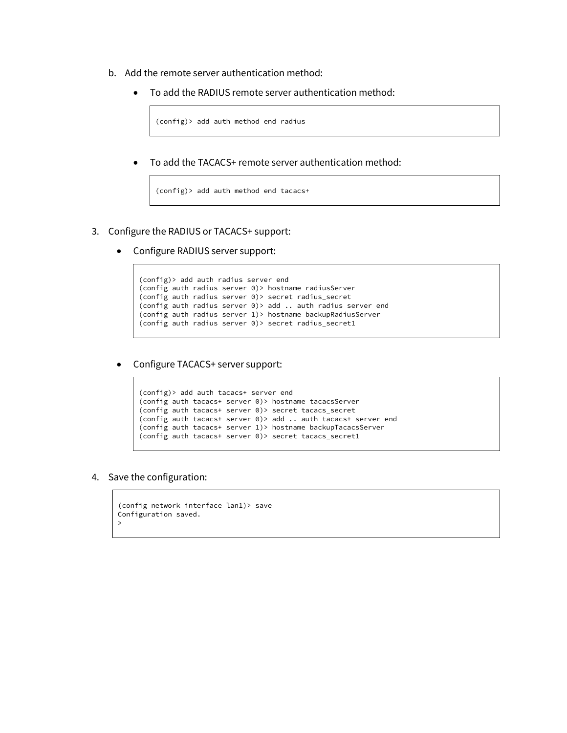- b. Add the remote server authentication method:
	- To add the RADIUS remote server authentication method:

```
(config)> add auth method end radius
```
• To add the TACACS+ remote server authentication method:

```
(config)> add auth method end tacacs+
```
- 3. Configure the RADIUS or TACACS+ support:
	- Configure RADIUS server support:

```
(config)> add auth radius server end
(config auth radius server 0)> hostname radiusServer
(config auth radius server 0)> secret radius_secret
(config auth radius server 0)> add .. auth radius server end
(config auth radius server 1)> hostname backupRadiusServer
(config auth radius server 0)> secret radius_secret1
```
• Configure TACACS+ server support:

```
(config)> add auth tacacs+ server end
(config auth tacacs+ server 0)> hostname tacacsServer
(config auth tacacs+ server 0)> secret tacacs_secret
(config auth tacacs+ server 0)> add .. auth tacacs+ server end
(config auth tacacs+ server 1)> hostname backupTacacsServer
(config auth tacacs+ server 0)> secret tacacs_secret1
```
4. Save the configuration:

```
(config network interface lan1)> save
Configuration saved.
>
```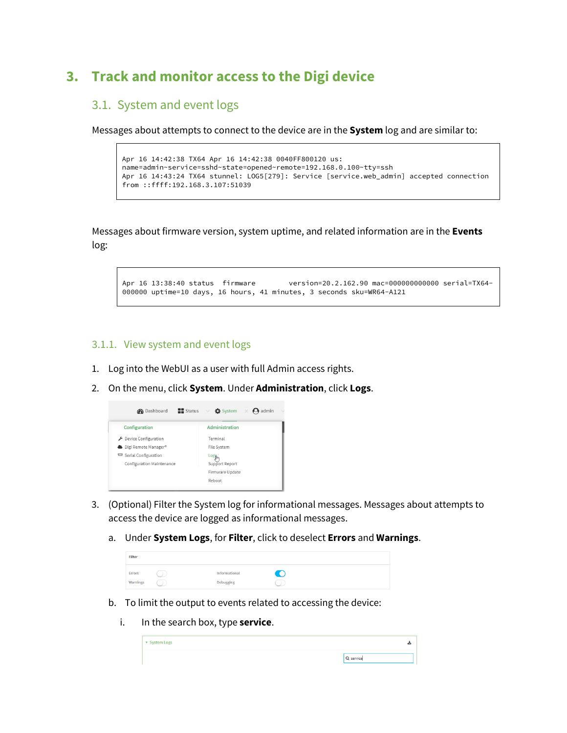# **3. Track and monitor access to the Digi device**

# 3.1. System and event logs

Messages about attempts to connect to the device are in the **System** log and are similar to:

```
Apr 16 14:42:38 TX64 Apr 16 14:42:38 0040FF800120 us: 
name=admin~service=sshd~state=opened~remote=192.168.0.100~tty=ssh
Apr 16 14:43:24 TX64 stunnel: LOG5[279]: Service [service.web_admin] accepted connection 
from ::ffff:192.168.3.107:51039
```
Messages about firmware version, system uptime, and related information are in the **Events** log:

Apr 16 13:38:40 status firmware version=20.2.162.90 mac=000000000000 serial=TX64- 000000 uptime=10 days, 16 hours, 41 minutes, 3 seconds sku=WR64-A121

#### 3.1.1. View system and event logs

- 1. Log into the WebUI as a user with full Admin access rights.
- 2. On the menu, click **System**. Under **Administration**, click **Logs**.



- 3. (Optional) Filter the System log for informational messages. Messages about attempts to access the device are logged as informational messages.
	- a. Under **System Logs**, for **Filter**, click to deselect **Errors** and **Warnings**.

| Filter        |    |                  |    |  |
|---------------|----|------------------|----|--|
| <b>Errors</b> | ×  | Informational    | T. |  |
| Warnings      | -2 | <b>Debugging</b> | D  |  |

- b. To limit the output to events related to accessing the device:
	- i. In the search box, type **service**.

| v System Logs |           |
|---------------|-----------|
|               | Q service |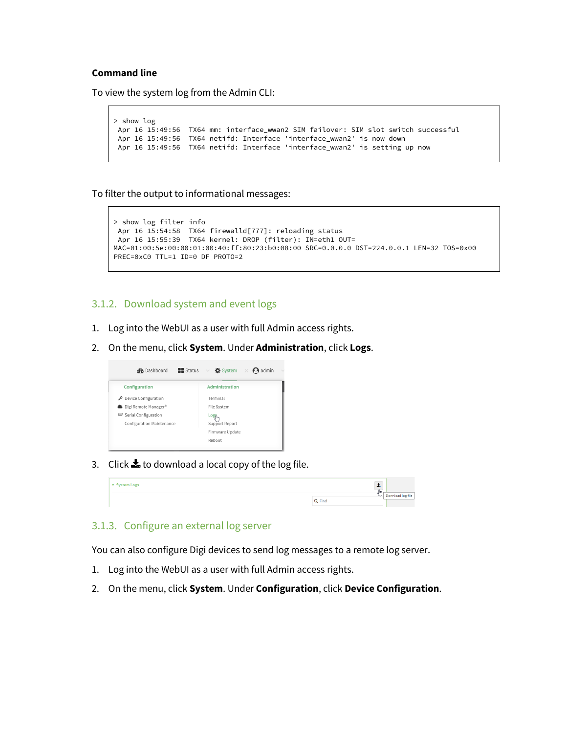To view the system log from the Admin CLI:

```
> show log
Apr 16 15:49:56 TX64 mm: interface_wwan2 SIM failover: SIM slot switch successful
Apr 16 15:49:56 TX64 netifd: Interface 'interface_wwan2' is now down
Apr 16 15:49:56 TX64 netifd: Interface 'interface_wwan2' is setting up now
```
To filter the output to informational messages:

```
> show log filter info
Apr 16 15:54:58 TX64 firewalld[777]: reloading status
Apr 16 15:55:39 TX64 kernel: DROP (filter): IN=eth1 OUT= 
MAC=01:00:5e:00:00:01:00:40:ff:80:23:b0:08:00 SRC=0.0.0.0 DST=224.0.0.1 LEN=32 TOS=0x00 
PREC=0xC0 TTL=1 ID=0 DF PROTO=2
```
#### 3.1.2. Download system and event logs

- 1. Log into the WebUI as a user with full Admin access rights.
- 2. On the menu, click **System**. Under **Administration**, click **Logs**.



3. Click  $\triangle$  to download a local copy of the log file.



#### 3.1.3. Configure an external log server

You can also configure Digi devices to send log messages to a remote log server.

- 1. Log into the WebUI as a user with full Admin access rights.
- 2. On the menu, click **System**. Under **Configuration**, click **Device Configuration**.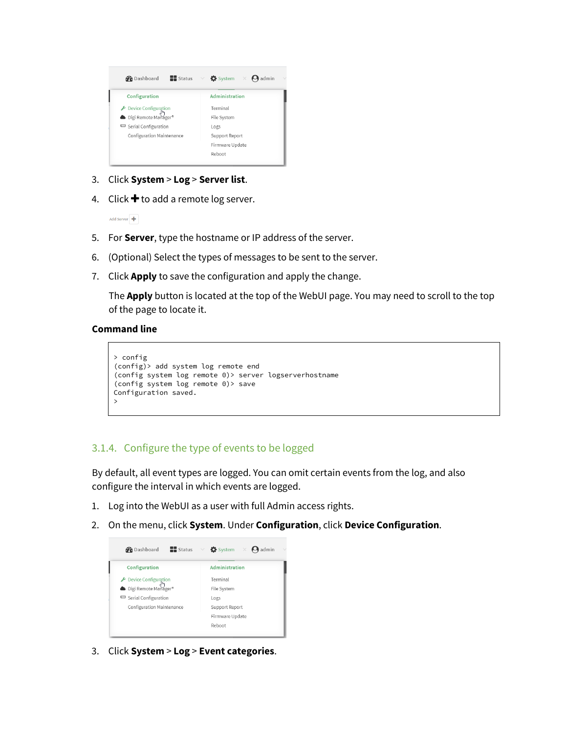

- 3. Click **System** > **Log** > **Server list**.
- 4. Click  $\bigstar$  to add a remote log server.

Add Server  $\overline{\mathbf{+}}$ 

- 5. For **Server**, type the hostname or IP address of the server.
- 6. (Optional) Select the types of messages to be sent to the server.
- 7. Click **Apply** to save the configuration and apply the change.

The **Apply** button is located at the top of the WebUI page. You may need to scroll to the top of the page to locate it.

#### **Command line**

```
> config
(config)> add system log remote end
(config system log remote 0)> server logserverhostname
(config system log remote 0)> save 
Configuration saved.
>
```
## 3.1.4. Configure the type of events to be logged

By default, all event types are logged. You can omit certain events from the log, and also configure the interval in which events are logged.

- 1. Log into the WebUI as a user with full Admin access rights.
- 2. On the menu, click **System**. Under **Configuration**, click **Device Configuration**.



3. Click **System** > **Log** > **Event categories**.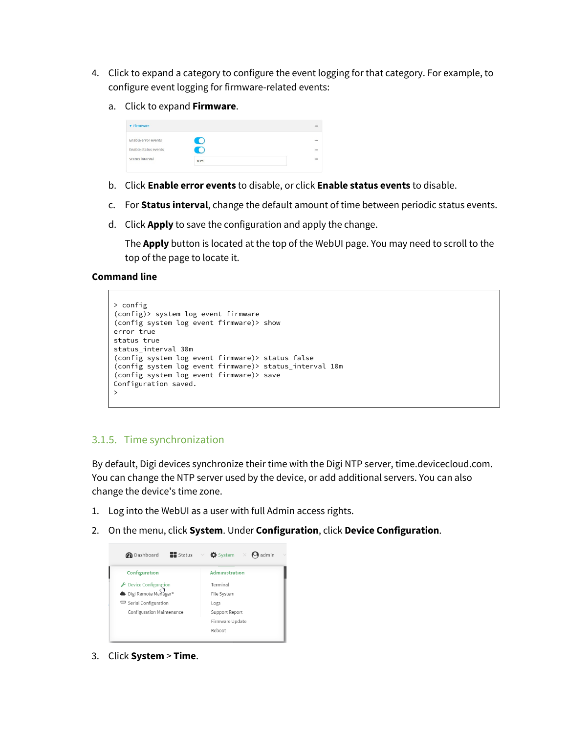- 4. Click to expand a category to configure the event logging for that category. For example, to configure event logging for firmware-related events:
	- a. Click to expand **Firmware**.

| <b>v</b> Firmware    |                 | 1000        |
|----------------------|-----------------|-------------|
| Enable error events  | $\Box$          | <b>SHOP</b> |
| Enable status events | C.              | new<br>œ    |
| Status interval      | 30 <sub>m</sub> | $\cdots$    |

- b. Click **Enable error events** to disable, or click **Enable status events** to disable.
- c. For **Status interval**, change the default amount of time between periodic status events.
- d. Click **Apply** to save the configuration and apply the change.

The **Apply** button is located at the top of the WebUI page. You may need to scroll to the top of the page to locate it.

#### **Command line**

```
> config
(config)> system log event firmware 
(config system log event firmware)> show
error true
status true
status_interval 30m
(config system log event firmware)> status false
(config system log event firmware)> status_interval 10m
(config system log event firmware)> save 
Configuration saved.
>
```
## 3.1.5. Time synchronization

By default, Digi devices synchronize their time with the Digi NTP server, time.devicecloud.com. You can change the NTP server used by the device, or add additional servers. You can also change the device's time zone.

- 1. Log into the WebUI as a user with full Admin access rights.
- 2. On the menu, click **System**. Under **Configuration**, click **Device Configuration**.



3. Click **System** > **Time**.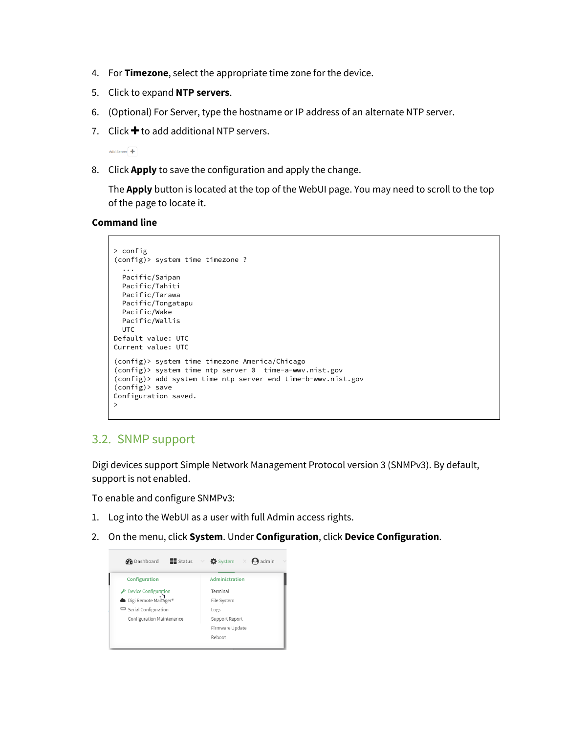- 4. For **Timezone**, select the appropriate time zone for the device.
- 5. Click to expand **NTP servers**.
- 6. (Optional) For Server, type the hostname or IP address of an alternate NTP server.
- 7. Click  $\bigstar$  to add additional NTP servers.

Add Server

8. Click **Apply** to save the configuration and apply the change.

The **Apply** button is located at the top of the WebUI page. You may need to scroll to the top of the page to locate it.

**Command line**

```
> config
(config)> system time timezone ?
   ...
  Pacific/Saipan
  Pacific/Tahiti
  Pacific/Tarawa
  Pacific/Tongatapu
  Pacific/Wake
  Pacific/Wallis
  UTC
Default value: UTC
Current value: UTC
(config)> system time timezone America/Chicago
(config)> system time ntp server 0 time-a-wwv.nist.gov
(config)> add system time ntp server end time-b-wwv.nist.gov
(config)> save
Configuration saved.
>
```
## 3.2. SNMP support

Digi devices support Simple Network Management Protocol version 3 (SNMPv3). By default, support is not enabled.

To enable and configure SNMPv3:

- 1. Log into the WebUI as a user with full Admin access rights.
- 2. On the menu, click **System**. Under **Configuration**, click **Device Configuration**.

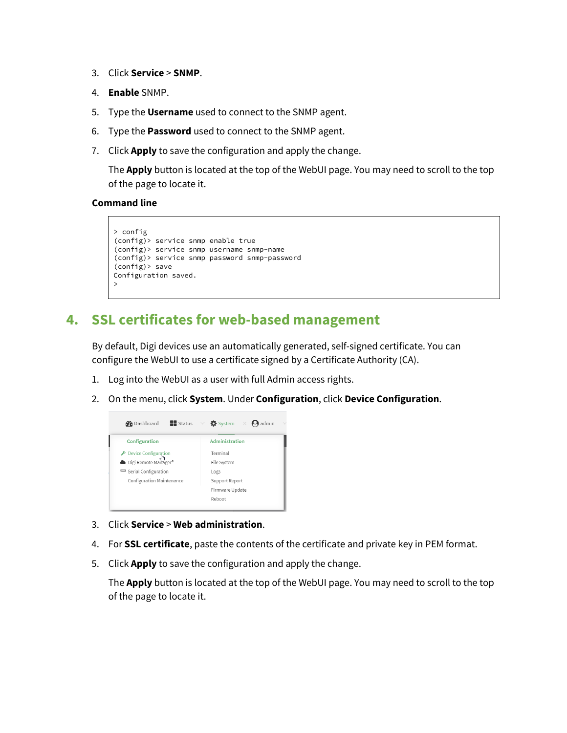- 3. Click **Service** > **SNMP**.
- 4. **Enable** SNMP.
- 5. Type the **Username** used to connect to the SNMP agent.
- 6. Type the **Password** used to connect to the SNMP agent.
- 7. Click **Apply** to save the configuration and apply the change.

The **Apply** button is located at the top of the WebUI page. You may need to scroll to the top of the page to locate it.

#### **Command line**

```
> config
(config)> service snmp enable true
(config)> service snmp username snmp-name
(config)> service snmp password snmp-password
(config)> save
Configuration saved.
>
```
# **4. SSL certificates for web-based management**

By default, Digi devices use an automatically generated, self-signed certificate. You can configure the WebUI to use a certificate signed by a Certificate Authority (CA).

- 1. Log into the WebUI as a user with full Admin access rights.
- 2. On the menu, click **System**. Under **Configuration**, click **Device Configuration**.



- 3. Click **Service** > **Web administration**.
- 4. For **SSL certificate**, paste the contents of the certificate and private key in PEM format.
- 5. Click **Apply** to save the configuration and apply the change.